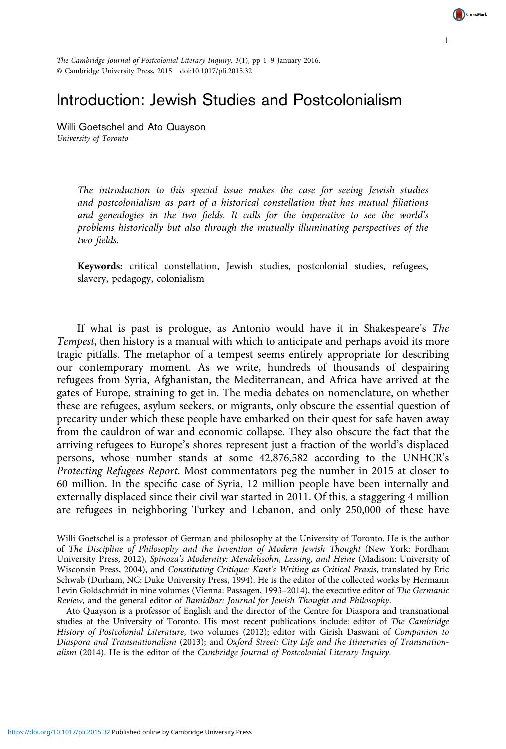The Cambridge Journal of Postcolonial Literary Inquiry, 3(1), pp 1–9 January 2016. © Cambridge University Press, 2015 doi:10.1017/pli.2015.32

## Introduction: Jewish Studies and Postcolonialism

Willi Goetschel and Ato Quayson University of Toronto

> The introduction to this special issue makes the case for seeing Jewish studies and postcolonialism as part of a historical constellation that has mutual filiations and genealogies in the two fields. It calls for the imperative to see the world's problems historically but also through the mutually illuminating perspectives of the two fields.

> Keywords: critical constellation, Jewish studies, postcolonial studies, refugees, slavery, pedagogy, colonialism

If what is past is prologue, as Antonio would have it in Shakespeare's The Tempest, then history is a manual with which to anticipate and perhaps avoid its more tragic pitfalls. The metaphor of a tempest seems entirely appropriate for describing our contemporary moment. As we write, hundreds of thousands of despairing refugees from Syria, Afghanistan, the Mediterranean, and Africa have arrived at the gates of Europe, straining to get in. The media debates on nomenclature, on whether these are refugees, asylum seekers, or migrants, only obscure the essential question of precarity under which these people have embarked on their quest for safe haven away from the cauldron of war and economic collapse. They also obscure the fact that the arriving refugees to Europe's shores represent just a fraction of the world's displaced persons, whose number stands at some 42,876,582 according to the UNHCR's Protecting Refugees Report. Most commentators peg the number in 2015 at closer to 60 million. In the specific case of Syria, 12 million people have been internally and externally displaced since their civil war started in 2011. Of this, a staggering 4 million are refugees in neighboring Turkey and Lebanon, and only 250,000 of these have

Willi Goetschel is a professor of German and philosophy at the University of Toronto. He is the author of The Discipline of Philosophy and the Invention of Modern Jewish Thought (New York: Fordham University Press, 2012), Spinoza's Modernity: Mendelssohn, Lessing, and Heine (Madison: University of Wisconsin Press, 2004), and Constituting Critique: Kant's Writing as Critical Praxis, translated by Eric Schwab (Durham, NC: Duke University Press, 1994). He is the editor of the collected works by Hermann Levin Goldschmidt in nine volumes (Vienna: Passagen, 1993–2014), the executive editor of The Germanic Review, and the general editor of Bamidbar: Journal for Jewish Thought and Philosophy.

Ato Quayson is a professor of English and the director of the Centre for Diaspora and transnational studies at the University of Toronto. His most recent publications include: editor of The Cambridge History of Postcolonial Literature, two volumes (2012); editor with Girish Daswani of Companion to Diaspora and Transnationalism (2013); and Oxford Street: City Life and the Itineraries of Transnationalism (2014). He is the editor of the Cambridge Journal of Postcolonial Literary Inquiry.

1

CrossMark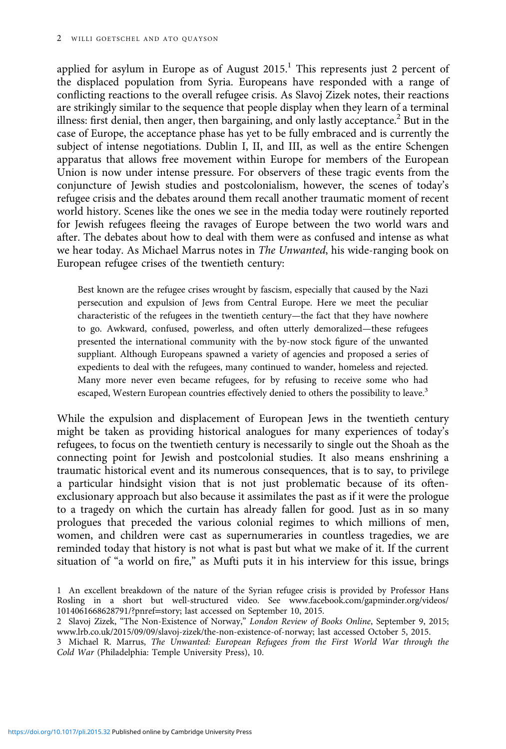applied for asylum in Europe as of August  $2015$ .<sup>1</sup> This represents just 2 percent of the displaced population from Syria. Europeans have responded with a range of conflicting reactions to the overall refugee crisis. As Slavoj Zizek notes, their reactions are strikingly similar to the sequence that people display when they learn of a terminal illness: first denial, then anger, then bargaining, and only lastly acceptance.<sup>2</sup> But in the case of Europe, the acceptance phase has yet to be fully embraced and is currently the subject of intense negotiations. Dublin I, II, and III, as well as the entire Schengen apparatus that allows free movement within Europe for members of the European Union is now under intense pressure. For observers of these tragic events from the conjuncture of Jewish studies and postcolonialism, however, the scenes of today's refugee crisis and the debates around them recall another traumatic moment of recent world history. Scenes like the ones we see in the media today were routinely reported for Jewish refugees fleeing the ravages of Europe between the two world wars and after. The debates about how to deal with them were as confused and intense as what we hear today. As Michael Marrus notes in *The Unwanted*, his wide-ranging book on European refugee crises of the twentieth century:

Best known are the refugee crises wrought by fascism, especially that caused by the Nazi persecution and expulsion of Jews from Central Europe. Here we meet the peculiar characteristic of the refugees in the twentieth century—the fact that they have nowhere to go. Awkward, confused, powerless, and often utterly demoralized—these refugees presented the international community with the by-now stock figure of the unwanted suppliant. Although Europeans spawned a variety of agencies and proposed a series of expedients to deal with the refugees, many continued to wander, homeless and rejected. Many more never even became refugees, for by refusing to receive some who had escaped, Western European countries effectively denied to others the possibility to leave.<sup>3</sup>

While the expulsion and displacement of European Jews in the twentieth century might be taken as providing historical analogues for many experiences of today's refugees, to focus on the twentieth century is necessarily to single out the Shoah as the connecting point for Jewish and postcolonial studies. It also means enshrining a traumatic historical event and its numerous consequences, that is to say, to privilege a particular hindsight vision that is not just problematic because of its oftenexclusionary approach but also because it assimilates the past as if it were the prologue to a tragedy on which the curtain has already fallen for good. Just as in so many prologues that preceded the various colonial regimes to which millions of men, women, and children were cast as supernumeraries in countless tragedies, we are reminded today that history is not what is past but what we make of it. If the current situation of "a world on fire," as Mufti puts it in his interview for this issue, brings

<sup>1</sup> An excellent breakdown of the nature of the Syrian refugee crisis is provided by Professor Hans Rosling in a short but well-structured video. See [www.facebook.com/gapminder.org/videos/](www.facebook.com/gapminder.org/videos/1014061668628791/?pnref=story) [1014061668628791/?pnref](www.facebook.com/gapminder.org/videos/1014061668628791/?pnref=story)=story; last accessed on September 10, 2015.

<sup>2</sup> Slavoj Zizek, "The Non-Existence of Norway," London Review of Books Online, September 9, 2015; [www.lrb.co.uk/2015/09/09/slavoj-zizek/the-non-existence-of-norway](www.lrb.co.uk/2015�/�09/09/slavoj-zizek/the-non-existence-of-norway); last accessed October 5, 2015.

<sup>3</sup> Michael R. Marrus, The Unwanted: European Refugees from the First World War through the Cold War (Philadelphia: Temple University Press), 10.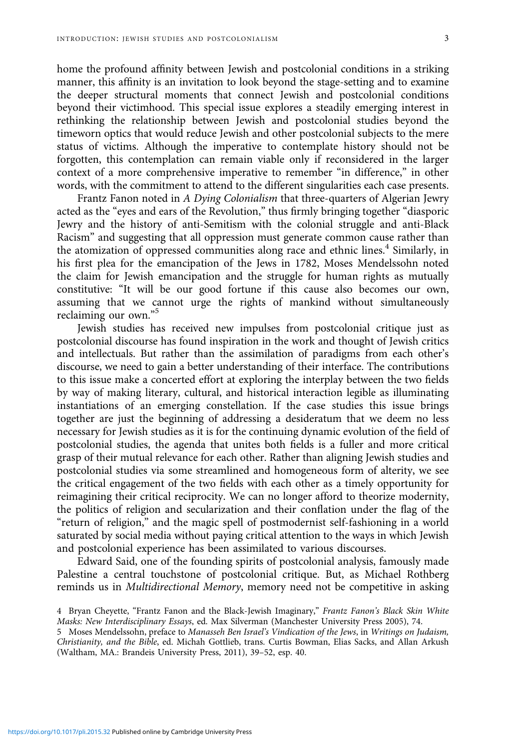home the profound affinity between Jewish and postcolonial conditions in a striking manner, this affinity is an invitation to look beyond the stage-setting and to examine the deeper structural moments that connect Jewish and postcolonial conditions beyond their victimhood. This special issue explores a steadily emerging interest in rethinking the relationship between Jewish and postcolonial studies beyond the timeworn optics that would reduce Jewish and other postcolonial subjects to the mere status of victims. Although the imperative to contemplate history should not be forgotten, this contemplation can remain viable only if reconsidered in the larger context of a more comprehensive imperative to remember "in difference," in other words, with the commitment to attend to the different singularities each case presents.

Frantz Fanon noted in A Dying Colonialism that three-quarters of Algerian Jewry acted as the "eyes and ears of the Revolution," thus firmly bringing together "diasporic Jewry and the history of anti-Semitism with the colonial struggle and anti-Black Racism" and suggesting that all oppression must generate common cause rather than the atomization of oppressed communities along race and ethnic lines.<sup>4</sup> Similarly, in his first plea for the emancipation of the Jews in 1782, Moses Mendelssohn noted the claim for Jewish emancipation and the struggle for human rights as mutually constitutive: "It will be our good fortune if this cause also becomes our own, assuming that we cannot urge the rights of mankind without simultaneously reclaiming our own." 5

Jewish studies has received new impulses from postcolonial critique just as postcolonial discourse has found inspiration in the work and thought of Jewish critics and intellectuals. But rather than the assimilation of paradigms from each other's discourse, we need to gain a better understanding of their interface. The contributions to this issue make a concerted effort at exploring the interplay between the two fields by way of making literary, cultural, and historical interaction legible as illuminating instantiations of an emerging constellation. If the case studies this issue brings together are just the beginning of addressing a desideratum that we deem no less necessary for Jewish studies as it is for the continuing dynamic evolution of the field of postcolonial studies, the agenda that unites both fields is a fuller and more critical grasp of their mutual relevance for each other. Rather than aligning Jewish studies and postcolonial studies via some streamlined and homogeneous form of alterity, we see the critical engagement of the two fields with each other as a timely opportunity for reimagining their critical reciprocity. We can no longer afford to theorize modernity, the politics of religion and secularization and their conflation under the flag of the "return of religion," and the magic spell of postmodernist self-fashioning in a world saturated by social media without paying critical attention to the ways in which Jewish and postcolonial experience has been assimilated to various discourses.

Edward Said, one of the founding spirits of postcolonial analysis, famously made Palestine a central touchstone of postcolonial critique. But, as Michael Rothberg reminds us in Multidirectional Memory, memory need not be competitive in asking

<sup>4</sup> Bryan Cheyette, "Frantz Fanon and the Black-Jewish Imaginary," Frantz Fanon's Black Skin White Masks: New Interdisciplinary Essays, ed. Max Silverman (Manchester University Press 2005), 74.

<sup>5</sup> Moses Mendelssohn, preface to Manasseh Ben Israel's Vindication of the Jews, in Writings on Judaism, Christianity, and the Bible, ed. Michah Gottlieb, trans. Curtis Bowman, Elias Sacks, and Allan Arkush (Waltham, MA.: Brandeis University Press, 2011), 39–52, esp. 40.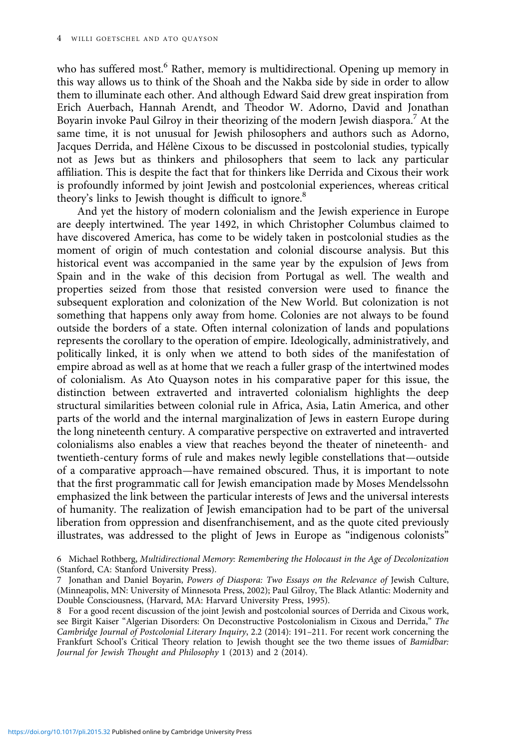who has suffered most.<sup>6</sup> Rather, memory is multidirectional. Opening up memory in this way allows us to think of the Shoah and the Nakba side by side in order to allow them to illuminate each other. And although Edward Said drew great inspiration from Erich Auerbach, Hannah Arendt, and Theodor W. Adorno, David and Jonathan Boyarin invoke Paul Gilroy in their theorizing of the modern Jewish diaspora.<sup>7</sup> At the same time, it is not unusual for Jewish philosophers and authors such as Adorno, Jacques Derrida, and Hélène Cixous to be discussed in postcolonial studies, typically not as Jews but as thinkers and philosophers that seem to lack any particular affiliation. This is despite the fact that for thinkers like Derrida and Cixous their work is profoundly informed by joint Jewish and postcolonial experiences, whereas critical theory's links to Jewish thought is difficult to ignore.<sup>8</sup>

And yet the history of modern colonialism and the Jewish experience in Europe are deeply intertwined. The year 1492, in which Christopher Columbus claimed to have discovered America, has come to be widely taken in postcolonial studies as the moment of origin of much contestation and colonial discourse analysis. But this historical event was accompanied in the same year by the expulsion of Jews from Spain and in the wake of this decision from Portugal as well. The wealth and properties seized from those that resisted conversion were used to finance the subsequent exploration and colonization of the New World. But colonization is not something that happens only away from home. Colonies are not always to be found outside the borders of a state. Often internal colonization of lands and populations represents the corollary to the operation of empire. Ideologically, administratively, and politically linked, it is only when we attend to both sides of the manifestation of empire abroad as well as at home that we reach a fuller grasp of the intertwined modes of colonialism. As Ato Quayson notes in his comparative paper for this issue, the distinction between extraverted and intraverted colonialism highlights the deep structural similarities between colonial rule in Africa, Asia, Latin America, and other parts of the world and the internal marginalization of Jews in eastern Europe during the long nineteenth century. A comparative perspective on extraverted and intraverted colonialisms also enables a view that reaches beyond the theater of nineteenth- and twentieth-century forms of rule and makes newly legible constellations that—outside of a comparative approach—have remained obscured. Thus, it is important to note that the first programmatic call for Jewish emancipation made by Moses Mendelssohn emphasized the link between the particular interests of Jews and the universal interests of humanity. The realization of Jewish emancipation had to be part of the universal liberation from oppression and disenfranchisement, and as the quote cited previously illustrates, was addressed to the plight of Jews in Europe as "indigenous colonists"

6 Michael Rothberg, Multidirectional Memory: Remembering the Holocaust in the Age of Decolonization (Stanford, CA: Stanford University Press).

8 For a good recent discussion of the joint Jewish and postcolonial sources of Derrida and Cixous work, see Birgit Kaiser "Algerian Disorders: On Deconstructive Postcolonialism in Cixous and Derrida," The Cambridge Journal of Postcolonial Literary Inquiry, 2.2 (2014): 191–211. For recent work concerning the Frankfurt School's Critical Theory relation to Jewish thought see the two theme issues of Bamidbar: Journal for Jewish Thought and Philosophy 1 (2013) and 2 (2014).

<sup>7</sup> Jonathan and Daniel Boyarin, Powers of Diaspora: Two Essays on the Relevance of Jewish Culture, (Minneapolis, MN: University of Minnesota Press, 2002); Paul Gilroy, The Black Atlantic: Modernity and Double Consciousness, (Harvard, MA: Harvard University Press, 1995).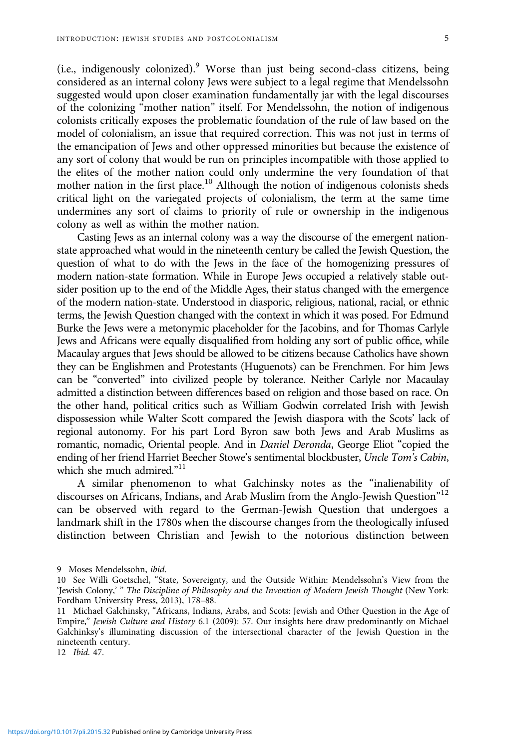(i.e., indigenously colonized).<sup>9</sup> Worse than just being second-class citizens, being considered as an internal colony Jews were subject to a legal regime that Mendelssohn suggested would upon closer examination fundamentally jar with the legal discourses of the colonizing "mother nation" itself. For Mendelssohn, the notion of indigenous colonists critically exposes the problematic foundation of the rule of law based on the model of colonialism, an issue that required correction. This was not just in terms of the emancipation of Jews and other oppressed minorities but because the existence of any sort of colony that would be run on principles incompatible with those applied to the elites of the mother nation could only undermine the very foundation of that mother nation in the first place.<sup>10</sup> Although the notion of indigenous colonists sheds critical light on the variegated projects of colonialism, the term at the same time undermines any sort of claims to priority of rule or ownership in the indigenous colony as well as within the mother nation.

Casting Jews as an internal colony was a way the discourse of the emergent nationstate approached what would in the nineteenth century be called the Jewish Question, the question of what to do with the Jews in the face of the homogenizing pressures of modern nation-state formation. While in Europe Jews occupied a relatively stable outsider position up to the end of the Middle Ages, their status changed with the emergence of the modern nation-state. Understood in diasporic, religious, national, racial, or ethnic terms, the Jewish Question changed with the context in which it was posed. For Edmund Burke the Jews were a metonymic placeholder for the Jacobins, and for Thomas Carlyle Jews and Africans were equally disqualified from holding any sort of public office, while Macaulay argues that Jews should be allowed to be citizens because Catholics have shown they can be Englishmen and Protestants (Huguenots) can be Frenchmen. For him Jews can be "converted" into civilized people by tolerance. Neither Carlyle nor Macaulay admitted a distinction between differences based on religion and those based on race. On the other hand, political critics such as William Godwin correlated Irish with Jewish dispossession while Walter Scott compared the Jewish diaspora with the Scots' lack of regional autonomy. For his part Lord Byron saw both Jews and Arab Muslims as romantic, nomadic, Oriental people. And in Daniel Deronda, George Eliot "copied the ending of her friend Harriet Beecher Stowe's sentimental blockbuster, Uncle Tom's Cabin, which she much admired."<sup>11</sup>

A similar phenomenon to what Galchinsky notes as the "inalienability of discourses on Africans, Indians, and Arab Muslim from the Anglo-Jewish Question"<sup>12</sup> can be observed with regard to the German-Jewish Question that undergoes a landmark shift in the 1780s when the discourse changes from the theologically infused distinction between Christian and Jewish to the notorious distinction between

<sup>9</sup> Moses Mendelssohn, ibid.

<sup>10</sup> See Willi Goetschel, "State, Sovereignty, and the Outside Within: Mendelssohn's View from the 'Jewish Colony,' " The Discipline of Philosophy and the Invention of Modern Jewish Thought (New York: Fordham University Press, 2013), 178–88.

<sup>11</sup> Michael Galchinsky, "Africans, Indians, Arabs, and Scots: Jewish and Other Question in the Age of Empire," Jewish Culture and History 6.1 (2009): 57. Our insights here draw predominantly on Michael Galchinksy's illuminating discussion of the intersectional character of the Jewish Question in the nineteenth century.

<sup>12</sup> Ibid. 47.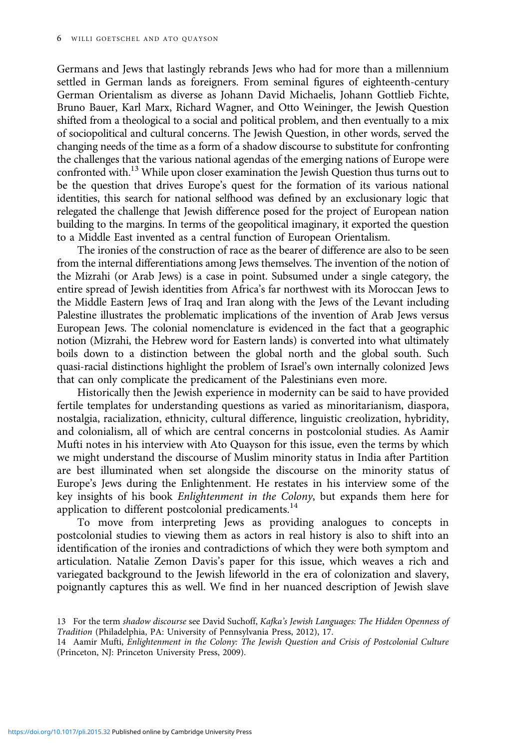Germans and Jews that lastingly rebrands Jews who had for more than a millennium settled in German lands as foreigners. From seminal figures of eighteenth-century German Orientalism as diverse as Johann David Michaelis, Johann Gottlieb Fichte, Bruno Bauer, Karl Marx, Richard Wagner, and Otto Weininger, the Jewish Question shifted from a theological to a social and political problem, and then eventually to a mix of sociopolitical and cultural concerns. The Jewish Question, in other words, served the changing needs of the time as a form of a shadow discourse to substitute for confronting the challenges that the various national agendas of the emerging nations of Europe were confronted with.<sup>13</sup> While upon closer examination the Jewish Question thus turns out to be the question that drives Europe's quest for the formation of its various national identities, this search for national selfhood was defined by an exclusionary logic that relegated the challenge that Jewish difference posed for the project of European nation building to the margins. In terms of the geopolitical imaginary, it exported the question to a Middle East invented as a central function of European Orientalism.

The ironies of the construction of race as the bearer of difference are also to be seen from the internal differentiations among Jews themselves. The invention of the notion of the Mizrahi (or Arab Jews) is a case in point. Subsumed under a single category, the entire spread of Jewish identities from Africa's far northwest with its Moroccan Jews to the Middle Eastern Jews of Iraq and Iran along with the Jews of the Levant including Palestine illustrates the problematic implications of the invention of Arab Jews versus European Jews. The colonial nomenclature is evidenced in the fact that a geographic notion (Mizrahi, the Hebrew word for Eastern lands) is converted into what ultimately boils down to a distinction between the global north and the global south. Such quasi-racial distinctions highlight the problem of Israel's own internally colonized Jews that can only complicate the predicament of the Palestinians even more.

Historically then the Jewish experience in modernity can be said to have provided fertile templates for understanding questions as varied as minoritarianism, diaspora, nostalgia, racialization, ethnicity, cultural difference, linguistic creolization, hybridity, and colonialism, all of which are central concerns in postcolonial studies. As Aamir Mufti notes in his interview with Ato Quayson for this issue, even the terms by which we might understand the discourse of Muslim minority status in India after Partition are best illuminated when set alongside the discourse on the minority status of Europe's Jews during the Enlightenment. He restates in his interview some of the key insights of his book Enlightenment in the Colony, but expands them here for application to different postcolonial predicaments.<sup>14</sup>

To move from interpreting Jews as providing analogues to concepts in postcolonial studies to viewing them as actors in real history is also to shift into an identification of the ironies and contradictions of which they were both symptom and articulation. Natalie Zemon Davis's paper for this issue, which weaves a rich and variegated background to the Jewish lifeworld in the era of colonization and slavery, poignantly captures this as well. We find in her nuanced description of Jewish slave

<sup>13</sup> For the term shadow discourse see David Suchoff, Kafka's Jewish Languages: The Hidden Openness of Tradition (Philadelphia, PA: University of Pennsylvania Press, 2012), 17.

<sup>14</sup> Aamir Mufti, Enlightenment in the Colony: The Jewish Question and Crisis of Postcolonial Culture (Princeton, NJ: Princeton University Press, 2009).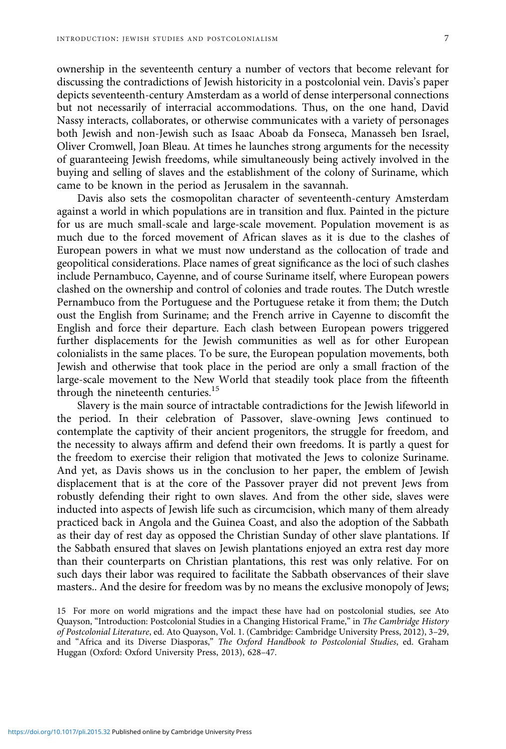ownership in the seventeenth century a number of vectors that become relevant for discussing the contradictions of Jewish historicity in a postcolonial vein. Davis's paper depicts seventeenth-century Amsterdam as a world of dense interpersonal connections but not necessarily of interracial accommodations. Thus, on the one hand, David Nassy interacts, collaborates, or otherwise communicates with a variety of personages both Jewish and non-Jewish such as Isaac Aboab da Fonseca, Manasseh ben Israel, Oliver Cromwell, Joan Bleau. At times he launches strong arguments for the necessity of guaranteeing Jewish freedoms, while simultaneously being actively involved in the buying and selling of slaves and the establishment of the colony of Suriname, which came to be known in the period as Jerusalem in the savannah.

Davis also sets the cosmopolitan character of seventeenth-century Amsterdam against a world in which populations are in transition and flux. Painted in the picture for us are much small-scale and large-scale movement. Population movement is as much due to the forced movement of African slaves as it is due to the clashes of European powers in what we must now understand as the collocation of trade and geopolitical considerations. Place names of great significance as the loci of such clashes include Pernambuco, Cayenne, and of course Suriname itself, where European powers clashed on the ownership and control of colonies and trade routes. The Dutch wrestle Pernambuco from the Portuguese and the Portuguese retake it from them; the Dutch oust the English from Suriname; and the French arrive in Cayenne to discomfit the English and force their departure. Each clash between European powers triggered further displacements for the Jewish communities as well as for other European colonialists in the same places. To be sure, the European population movements, both Jewish and otherwise that took place in the period are only a small fraction of the large-scale movement to the New World that steadily took place from the fifteenth through the nineteenth centuries.<sup>15</sup>

Slavery is the main source of intractable contradictions for the Jewish lifeworld in the period. In their celebration of Passover, slave-owning Jews continued to contemplate the captivity of their ancient progenitors, the struggle for freedom, and the necessity to always affirm and defend their own freedoms. It is partly a quest for the freedom to exercise their religion that motivated the Jews to colonize Suriname. And yet, as Davis shows us in the conclusion to her paper, the emblem of Jewish displacement that is at the core of the Passover prayer did not prevent Jews from robustly defending their right to own slaves. And from the other side, slaves were inducted into aspects of Jewish life such as circumcision, which many of them already practiced back in Angola and the Guinea Coast, and also the adoption of the Sabbath as their day of rest day as opposed the Christian Sunday of other slave plantations. If the Sabbath ensured that slaves on Jewish plantations enjoyed an extra rest day more than their counterparts on Christian plantations, this rest was only relative. For on such days their labor was required to facilitate the Sabbath observances of their slave masters.. And the desire for freedom was by no means the exclusive monopoly of Jews;

<sup>15</sup> For more on world migrations and the impact these have had on postcolonial studies, see Ato Quayson, "Introduction: Postcolonial Studies in a Changing Historical Frame," in The Cambridge History of Postcolonial Literature, ed. Ato Quayson, Vol. 1. (Cambridge: Cambridge University Press, 2012), 3–29, and "Africa and its Diverse Diasporas," The Oxford Handbook to Postcolonial Studies, ed. Graham Huggan (Oxford: Oxford University Press, 2013), 628–47.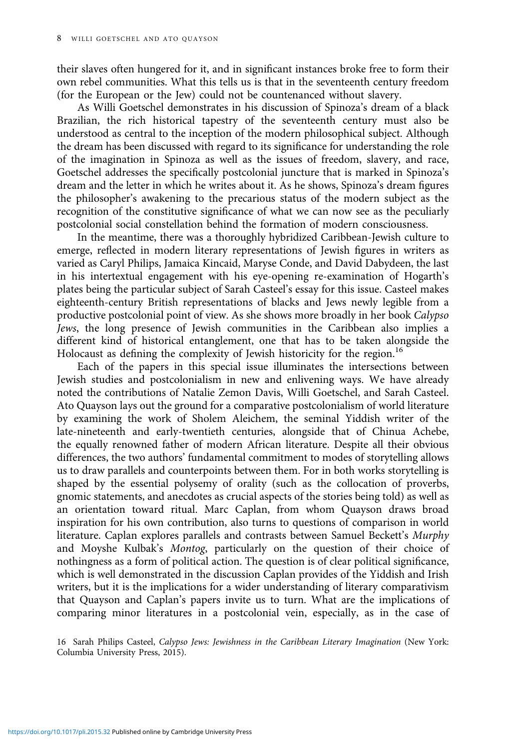their slaves often hungered for it, and in significant instances broke free to form their own rebel communities. What this tells us is that in the seventeenth century freedom (for the European or the Jew) could not be countenanced without slavery.

As Willi Goetschel demonstrates in his discussion of Spinoza's dream of a black Brazilian, the rich historical tapestry of the seventeenth century must also be understood as central to the inception of the modern philosophical subject. Although the dream has been discussed with regard to its significance for understanding the role of the imagination in Spinoza as well as the issues of freedom, slavery, and race, Goetschel addresses the specifically postcolonial juncture that is marked in Spinoza's dream and the letter in which he writes about it. As he shows, Spinoza's dream figures the philosopher's awakening to the precarious status of the modern subject as the recognition of the constitutive significance of what we can now see as the peculiarly postcolonial social constellation behind the formation of modern consciousness.

In the meantime, there was a thoroughly hybridized Caribbean-Jewish culture to emerge, reflected in modern literary representations of Jewish figures in writers as varied as Caryl Philips, Jamaica Kincaid, Maryse Conde, and David Dabydeen, the last in his intertextual engagement with his eye-opening re-examination of Hogarth's plates being the particular subject of Sarah Casteel's essay for this issue. Casteel makes eighteenth-century British representations of blacks and Jews newly legible from a productive postcolonial point of view. As she shows more broadly in her book Calypso Jews, the long presence of Jewish communities in the Caribbean also implies a different kind of historical entanglement, one that has to be taken alongside the Holocaust as defining the complexity of Jewish historicity for the region.<sup>16</sup>

Each of the papers in this special issue illuminates the intersections between Jewish studies and postcolonialism in new and enlivening ways. We have already noted the contributions of Natalie Zemon Davis, Willi Goetschel, and Sarah Casteel. Ato Quayson lays out the ground for a comparative postcolonialism of world literature by examining the work of Sholem Aleichem, the seminal Yiddish writer of the late-nineteenth and early-twentieth centuries, alongside that of Chinua Achebe, the equally renowned father of modern African literature. Despite all their obvious differences, the two authors' fundamental commitment to modes of storytelling allows us to draw parallels and counterpoints between them. For in both works storytelling is shaped by the essential polysemy of orality (such as the collocation of proverbs, gnomic statements, and anecdotes as crucial aspects of the stories being told) as well as an orientation toward ritual. Marc Caplan, from whom Quayson draws broad inspiration for his own contribution, also turns to questions of comparison in world literature. Caplan explores parallels and contrasts between Samuel Beckett's Murphy and Moyshe Kulbak's Montog, particularly on the question of their choice of nothingness as a form of political action. The question is of clear political significance, which is well demonstrated in the discussion Caplan provides of the Yiddish and Irish writers, but it is the implications for a wider understanding of literary comparativism that Quayson and Caplan's papers invite us to turn. What are the implications of comparing minor literatures in a postcolonial vein, especially, as in the case of

16 Sarah Philips Casteel, Calypso Jews: Jewishness in the Caribbean Literary Imagination (New York: Columbia University Press, 2015).